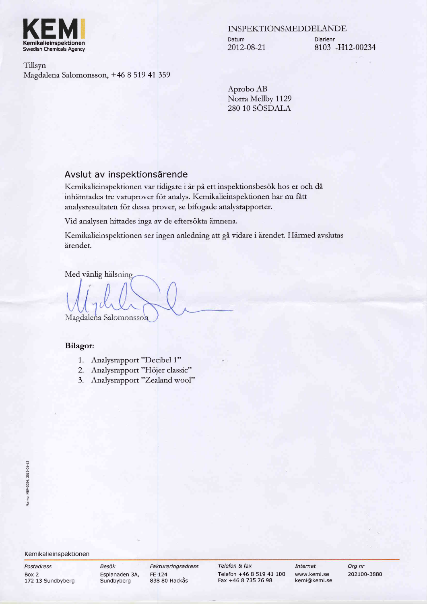

INSPEKTIONSMEDDELANDE

Datum 2012-08-21 Diarienr 8103 H12-00234

Tillsyn Magdalena Salomonsson, +46 8 519 41 359

> Aprobo AB Norra Mellby 1129 280 10 SÖSDALA

# Avslut av inspektionsärende

Kemikalieinspektionen var tidigare i år på ett inspektionsbesök hos er och då inhämtades tre varuprover för analys. Kemikalieinspektionen har nu fått analysresultaten för dessa prover, se bifogade analysrapporter.

Vid analysen hittades inga av de eftersökta ämnena.

Kemikalieinspektionen ser ingen anledning att gå vidare i ärendet. Härmed avslutas irendet.

Med vänlig hälsning

Magdalena Salomonsson

#### Bilagot

- 1. Analysrapport "Decibel 1"
- 2. Analysrapport "Höjer classic"
- 3. Analysrapport "Zealand wool"

#### Kemikalieinspektionen

Postadress Box 2 172 13 Sundbyberg Besök Faktureringsadress Sundbyberg 838 80 Hackas

Telefon & fax Telefon +46 B 519 41 100 Fax +46 8 735 76 98

Internet Org nr www.kemi.se 202100-3880 kemi@kemi.se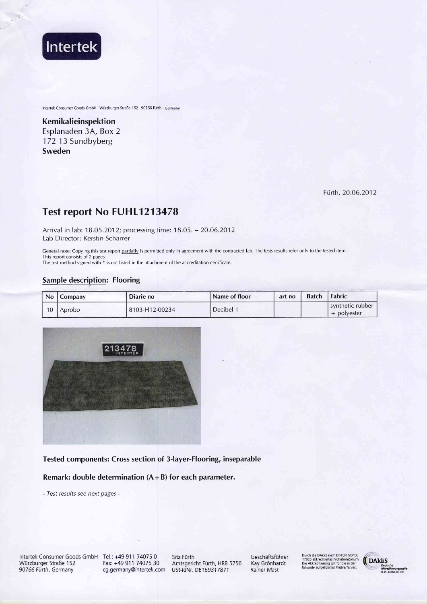

Intertek Consumer Goods GmbH - Würzburger Straße 152 - 90766 Fürth - Germany

Kemikalieinspektion Esplanaden 3A, Box 2 172 13 Sundbyberg Sweden

Fürth, 20.06.2012

# Test report No FUHL1213478

Arrival in lab: 18.05.2012; processing time: 18.05. - 20.06.2012 Lab Director: Kerstin Scharrer

General note: Copying this test report partially is permitted only in agreement with the contracted lab. The tests results refer only to the tested item. This report consists of 2 pages.

The test method signed with \* is not listed in the attachment of the accreditation certificate.

### **Sample description: Flooring**

| <b>No</b> | <b>Company</b> | Diarie no      | Name of floor | art no | <b>Batch</b> | Fabric                            |
|-----------|----------------|----------------|---------------|--------|--------------|-----------------------------------|
| 10        | Aprobo         | 8103-H12-00234 | Decibel 1     |        |              | l svnthetic rubber<br>+ polyester |



### Tested components: Cross section of 3-layer-Flooring, inseparable

Remark: double determination  $(A + B)$  for each parameter.

- Test results see next pages -

Intertek Consumer Goods GmbH Tel.: +49 911 74075 0 Würzburger Straße 152 90766 Fürth, Germany

Fax: +49 911 74075 30 cg.germany@intertek.com USt-IdNr. DE169317871

Sitz Fürth Amtsgericht Fürth, HRB 5756 Geschäftsführer Kay Grönhardt **Rainer Mast** 

Durch die DAkk5 nach DIN EN ISO/IEC<br>17025 akkreditiertes Prüflaboratorium<br>Die Akkreditierung gilt für die in der<br>Urkunde aufgeführten Prüfverfahren.